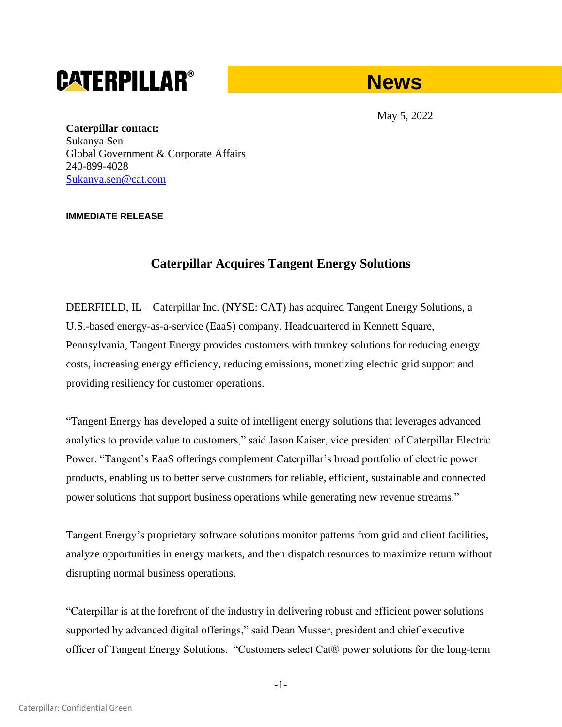# **CATERPILLAR®**



May 5, 2022

**Caterpillar contact:** Sukanya Sen Global Government & Corporate Affairs 240-899-4028 [Sukanya.sen@cat.com](mailto:Sukanya.sen@cat.com)

## **IMMEDIATE RELEASE**

## **Caterpillar Acquires Tangent Energy Solutions**

DEERFIELD, IL – Caterpillar Inc. (NYSE: CAT) has acquired Tangent Energy Solutions, a U.S.-based energy-as-a-service (EaaS) company. Headquartered in Kennett Square, Pennsylvania, Tangent Energy provides customers with turnkey solutions for reducing energy costs, increasing energy efficiency, reducing emissions, monetizing electric grid support and providing resiliency for customer operations.

"Tangent Energy has developed a suite of intelligent energy solutions that leverages advanced analytics to provide value to customers," said Jason Kaiser, vice president of Caterpillar Electric Power. "Tangent's EaaS offerings complement Caterpillar's broad portfolio of electric power products, enabling us to better serve customers for reliable, efficient, sustainable and connected power solutions that support business operations while generating new revenue streams."

Tangent Energy's proprietary software solutions monitor patterns from grid and client facilities, analyze opportunities in energy markets, and then dispatch resources to maximize return without disrupting normal business operations.

"Caterpillar is at the forefront of the industry in delivering robust and efficient power solutions supported by advanced digital offerings," said Dean Musser, president and chief executive officer of Tangent Energy Solutions. "Customers select Cat® power solutions for the long-term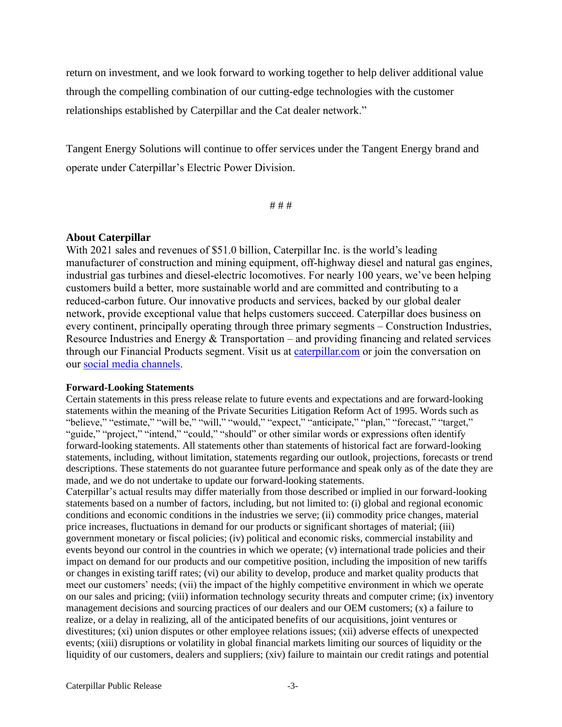return on investment, and we look forward to working together to help deliver additional value through the compelling combination of our cutting-edge technologies with the customer relationships established by Caterpillar and the Cat dealer network."

Tangent Energy Solutions will continue to offer services under the Tangent Energy brand and operate under Caterpillar's Electric Power Division.

# # #

### **About Caterpillar**

With 2021 sales and revenues of \$51.0 billion, Caterpillar Inc. is the world's leading manufacturer of construction and mining equipment, off-highway diesel and natural gas engines, industrial gas turbines and diesel-electric locomotives. For nearly 100 years, we've been helping customers build a better, more sustainable world and are committed and contributing to a reduced-carbon future. Our innovative products and services, backed by our global dealer network, provide exceptional value that helps customers succeed. Caterpillar does business on every continent, principally operating through three primary segments – Construction Industries, Resource Industries and Energy & Transportation – and providing financing and related services through our Financial Products segment. Visit us at caterpillar.com or join the conversation on our [social media channels.](https://www.caterpillar.com/en/news/social-media.html)

### **Forward-Looking Statements**

Certain statements in this press release relate to future events and expectations and are forward-looking statements within the meaning of the Private Securities Litigation Reform Act of 1995. Words such as "believe," "estimate," "will be," "will," "would," "expect," "anticipate," "plan," "forecast," "target," "guide," "project," "intend," "could," "should" or other similar words or expressions often identify forward-looking statements. All statements other than statements of historical fact are forward-looking statements, including, without limitation, statements regarding our outlook, projections, forecasts or trend descriptions. These statements do not guarantee future performance and speak only as of the date they are made, and we do not undertake to update our forward-looking statements.

Caterpillar's actual results may differ materially from those described or implied in our forward-looking statements based on a number of factors, including, but not limited to: (i) global and regional economic conditions and economic conditions in the industries we serve; (ii) commodity price changes, material price increases, fluctuations in demand for our products or significant shortages of material; (iii) government monetary or fiscal policies; (iv) political and economic risks, commercial instability and events beyond our control in the countries in which we operate; (v) international trade policies and their impact on demand for our products and our competitive position, including the imposition of new tariffs or changes in existing tariff rates; (vi) our ability to develop, produce and market quality products that meet our customers' needs; (vii) the impact of the highly competitive environment in which we operate on our sales and pricing; (viii) information technology security threats and computer crime; (ix) inventory management decisions and sourcing practices of our dealers and our OEM customers; (x) a failure to realize, or a delay in realizing, all of the anticipated benefits of our acquisitions, joint ventures or divestitures; (xi) union disputes or other employee relations issues; (xii) adverse effects of unexpected events; (xiii) disruptions or volatility in global financial markets limiting our sources of liquidity or the liquidity of our customers, dealers and suppliers; (xiv) failure to maintain our credit ratings and potential